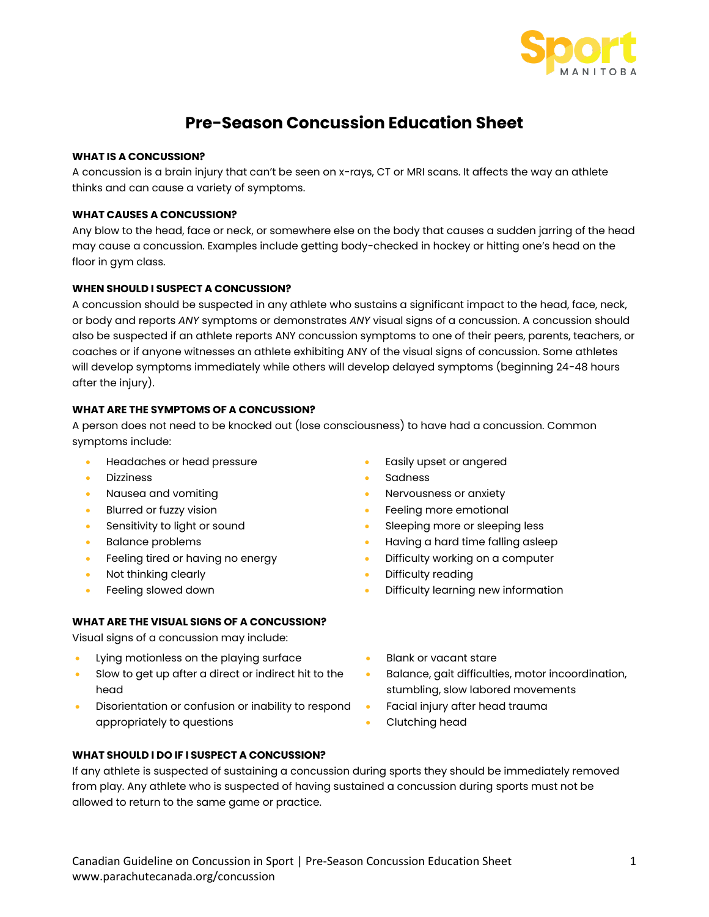

# **Pre-Season Concussion Education Sheet**

## **WHAT IS A CONCUSSION?**

A concussion is a brain injury that can't be seen on x-rays, CT or MRI scans. It affects the way an athlete thinks and can cause a variety of symptoms.

## **WHAT CAUSES A CONCUSSION?**

Any blow to the head, face or neck, or somewhere else on the body that causes a sudden jarring of the head may cause a concussion. Examples include getting body-checked in hockey or hitting one's head on the floor in gym class.

## **WHEN SHOULD I SUSPECT A CONCUSSION?**

A concussion should be suspected in any athlete who sustains a significant impact to the head, face, neck, or body and reports *ANY* symptoms or demonstrates *ANY* visual signs of a concussion. A concussion should also be suspected if an athlete reports ANY concussion symptoms to one of their peers, parents, teachers, or coaches or if anyone witnesses an athlete exhibiting ANY of the visual signs of concussion. Some athletes will develop symptoms immediately while others will develop delayed symptoms (beginning 24-48 hours after the injury).

# **WHAT ARE THE SYMPTOMS OF A CONCUSSION?**

A person does not need to be knocked out (lose consciousness) to have had a concussion. Common symptoms include:

- Headaches or head pressure Easily upset or angered
- 
- 
- 
- 
- 
- Feeling tired or having no energy  **Difficulty working on a computer**
- 
- 

# **WHAT ARE THE VISUAL SIGNS OF A CONCUSSION?**

Visual signs of a concussion may include:

- Lying motionless on the playing surface  **Blank or vacant stare**
- Slow to get up after a direct or indirect hit to the head
- Disorientation or confusion or inability to respond appropriately to questions
- 
- Dizziness Sadness
- **Nausea and vomiting example 3 and 10 years of anxiety Nervousness or anxiety**
- Blurred or fuzzy vision **•** Feeling more emotional
	- Sensitivity to light or sound Sleeping more or sleeping less
- Balance problems The matter of the Having a hard time falling asleep
	-
	- Not thinking clearly **EXECUTE:** This is a positive of the Difficulty reading
- Feeling slowed down  **Conserversity Internation •** Difficulty learning new information
	-
	- Balance, gait difficulties, motor incoordination, stumbling, slow labored movements
	- Facial injury after head trauma
	- Clutching head

## **WHAT SHOULD I DO IF I SUSPECT A CONCUSSION?**

If any athlete is suspected of sustaining a concussion during sports they should be immediately removed from play. Any athlete who is suspected of having sustained a concussion during sports must not be allowed to return to the same game or practice.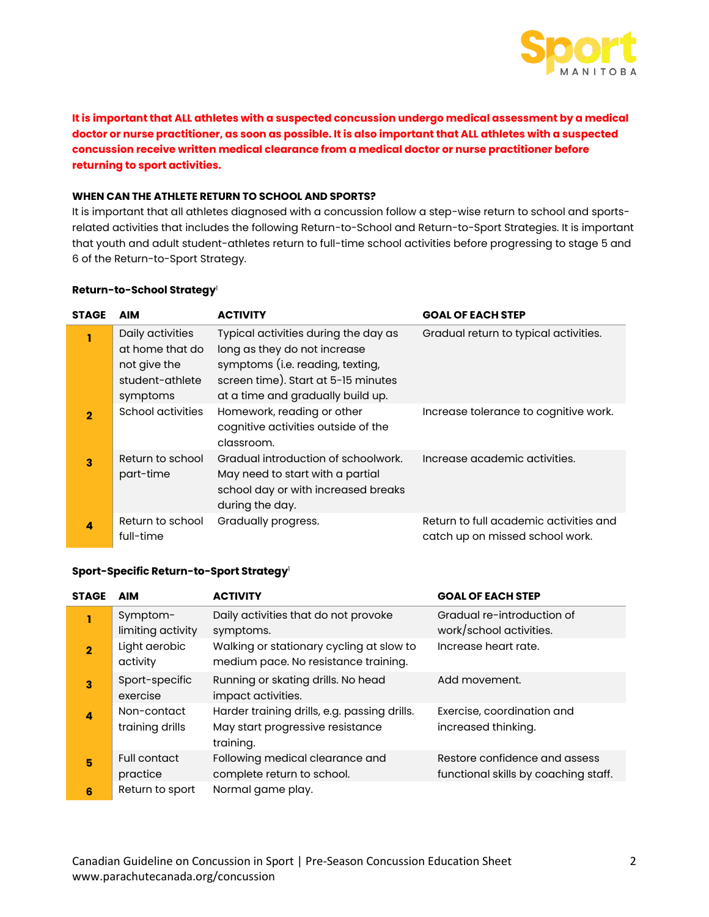

**It is important that ALL athletes with a suspected concussion undergo medical assessment by a medical doctor or nurse practitioner, as soon as possible. It is also important that ALL athletes with a suspected concussion receive written medical clearance from a medical doctor or nurse practitioner before returning to sport activities.**

#### **WHEN CAN THE ATHLETE RETURN TO SCHOOL AND SPORTS?**

It is important that all athletes diagnosed with a concussion follow a step-wise return to school and sportsrelated activities that includes the following Return-to-School and Return-to-Sport Strategies. It is important that youth and adult student-athletes return to full-time school activities before progressing to stage 5 and 6 of the Return-to-Sport Strategy.

#### **Return-to-School Strategy**<sup>1</sup>

| <b>STAGE</b>            | <b>AIM</b>                    | <b>ACTIVITY</b>                                                                                                                   | <b>GOAL OF EACH STEP</b>                                                  |
|-------------------------|-------------------------------|-----------------------------------------------------------------------------------------------------------------------------------|---------------------------------------------------------------------------|
| 1                       | Daily activities              | Typical activities during the day as                                                                                              | Gradual return to typical activities.                                     |
|                         | at home that do               | long as they do not increase                                                                                                      |                                                                           |
|                         | not give the                  | symptoms (i.e. reading, texting,                                                                                                  |                                                                           |
|                         | student-athlete               | screen time). Start at 5-15 minutes                                                                                               |                                                                           |
|                         | symptoms                      | at a time and gradually build up.                                                                                                 |                                                                           |
| $\overline{2}$          | <b>School activities</b>      | Homework, reading or other<br>cognitive activities outside of the<br>classroom.                                                   | Increase tolerance to cognitive work.                                     |
| $\overline{\mathbf{3}}$ | Return to school<br>part-time | Gradual introduction of schoolwork.<br>May need to start with a partial<br>school day or with increased breaks<br>during the day. | Increase academic activities.                                             |
| 4                       | Return to school<br>full-time | Gradually progress.                                                                                                               | Return to full academic activities and<br>catch up on missed school work. |

#### **Sport-Specific Return-to-Sport Strategy**<sup>1</sup>

| <b>STAGE</b>   | AIM                             | <b>ACTIVITY</b>                                                                               | <b>GOAL OF EACH STEP</b>                                              |
|----------------|---------------------------------|-----------------------------------------------------------------------------------------------|-----------------------------------------------------------------------|
| 1              | Symptom-<br>limiting activity   | Daily activities that do not provoke<br>symptoms.                                             | Gradual re-introduction of<br>work/school activities.                 |
| $\overline{2}$ | Light aerobic<br>activity       | Walking or stationary cycling at slow to<br>medium pace. No resistance training.              | Increase heart rate.                                                  |
| 3              | Sport-specific<br>exercise      | Running or skating drills. No head<br>impact activities.                                      | Add movement.                                                         |
| 4              | Non-contact<br>training drills  | Harder training drills, e.g. passing drills.<br>May start progressive resistance<br>training. | Exercise, coordination and<br>increased thinking.                     |
| 5              | <b>Full contact</b><br>practice | Following medical clearance and<br>complete return to school.                                 | Restore confidence and assess<br>functional skills by coaching staff. |
| 6              | Return to sport                 | Normal game play.                                                                             |                                                                       |